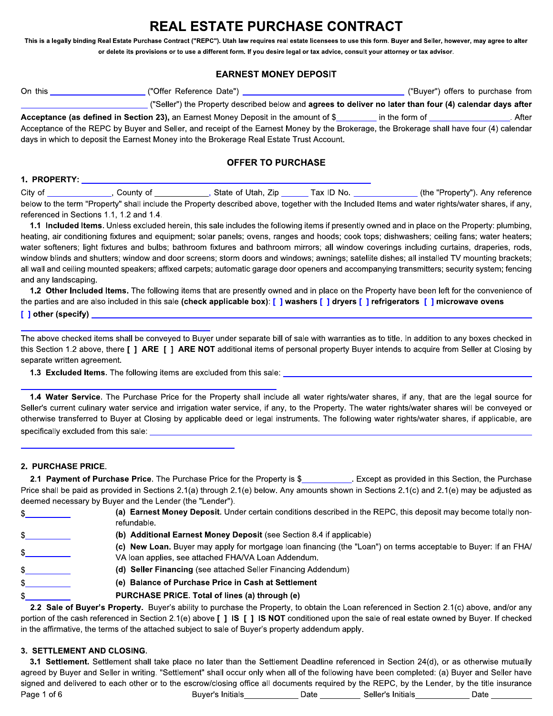# REAL ESTATE PURCHASE CONTRACT

This is a legally binding Real Estate Purchase Contract ("REPC"). Utah law requires real estate licensees to use this form. Buyer and Seller, however, may agree to alter or delete its provisions or to use a different form. If you desire legal or tax advice, consult your attorney or tax advisor.

# **EARNEST MONEY DEPOSIT**

| On this | ("Offer Reference Date")                                                                                 | ("Buyer") offers to purchase from |       |
|---------|----------------------------------------------------------------------------------------------------------|-----------------------------------|-------|
|         | ("Seller") the Property described below and agrees to deliver no later than four (4) calendar days after |                                   |       |
|         | <b>Acceptance (as defined in Section 23), an Earnest Money Deposit in the amount of \$</b>               | in the form of                    | After |

Acceptance of the REPC by Buyer and Seller, and receipt of the Earnest Money by the Brokerage, the Brokerage shall have four (4) calendar days in which to deposit the Earnest Money into the Brokerage Real Estate Trust Account.

# **OFFER TO PURCHASE**

#### 

City of \_\_\_\_\_\_\_\_\_\_\_\_\_\_\_, County of \_\_\_\_\_\_\_\_\_\_\_\_, State of Utah, Zip \_\_\_\_\_\_\_Tax ID No. \_\_\_\_\_\_\_\_\_\_\_\_\_(the "Property"). Any reference below to the term "Property" shall include the Property described above, together with the Included Items and water rights/water shares, if any, referenced in Sections 1.1, 1.2 and 1.4.

1.1 Included Items. Unless excluded herein, this sale includes the following items if presently owned and in place on the Property: plumbing, heating, air conditioning fixtures and equipment; solar panels; ovens, ranges and hoods; cook tops; dishwashers; ceiling fans; water heaters; water softeners; light fixtures and bulbs; bathroom fixtures and bathroom mirrors; all window coverings including curtains, draperies, rods, window blinds and shutters; window and door screens; storm doors and windows; awnings; satellite dishes; all installed TV mounting brackets; all wall and ceiling mounted speakers; affixed carpets; automatic garage door openers and accompanying transmitters; security system; fencing and any landscaping.

1.2 Other Included Items. The following items that are presently owned and in place on the Property have been left for the convenience of the parties and are also included in this sale (check applicable box): [ ] washers [ ] dryers [ ] refrigerators [ ] microwave ovens

#### [ ] other (specify) \_

The above checked items shall be conveyed to Buyer under separate bill of sale with warranties as to title. In addition to any boxes checked in this Section 1.2 above, there [ ] ARE [ ] ARE NOT additional items of personal property Buyer intends to acquire from Seller at Closing by separate written agreement.

1.3 Excluded Items. The following items are excluded from this sale: \_\_\_\_\_\_\_\_\_\_\_\_

1.4 Water Service. The Purchase Price for the Property shall include all water rights/water shares, if any, that are the legal source for Seller's current culinary water service and irrigation water service, if any, to the Property. The water rights/water shares will be conveyed or otherwise transferred to Buyer at Closing by applicable deed or legal instruments. The following water rights/water shares, if applicable, are specifically excluded from this sale:

#### 2. PURCHASE PRICE.

| 2.1 Payment of Purchase Price. The Purchase Price for the Property is \$                                                                    | Except as provided in this Section, the Purchase |
|---------------------------------------------------------------------------------------------------------------------------------------------|--------------------------------------------------|
| Price shall be paid as provided in Sections 2.1(a) through 2.1(e) below. Any amounts shown in Sections 2.1(c) and 2.1(e) may be adjusted as |                                                  |
| deemed necessary by Buyer and the Lender (the "Lender").                                                                                    |                                                  |
| (a) Earnest Money Denosit Under certain conditions described in the REDC, this denosit may become totally non-                              |                                                  |

| ъ  | <b>a</b> Earnest money Deposit. Shoot contain conditions accompositions her of and appointmay bocomponently non-<br>refundable.                                        |
|----|------------------------------------------------------------------------------------------------------------------------------------------------------------------------|
|    | (b) Additional Earnest Money Deposit (see Section 8.4 if applicable)                                                                                                   |
|    | (c) New Loan. Buyer may apply for mortgage loan financing (the "Loan") on terms acceptable to Buyer: If an FHA/<br>VA loan applies, see attached FHA/VA Loan Addendum. |
|    | (d) Seller Financing (see attached Seller Financing Addendum)                                                                                                          |
| \$ | (e) Balance of Purchase Price in Cash at Settlement                                                                                                                    |
| \$ | PURCHASE PRICE. Total of lines (a) through (e)                                                                                                                         |
|    | 2.2 Sale of Buyer's Property. Buyer's ability to purchase the Property, to obtain the Loan referenced in Section 2.1(c) above, and/or any                              |
|    |                                                                                                                                                                        |

portion of the cash referenced in Section 2.1(e) above [ ] IS [ ] IS NOT conditioned upon the sale of real estate owned by Buyer. If checked in the affirmative, the terms of the attached subject to sale of Buyer's property addendum apply.

# 3. SETTLEMENT AND CLOSING.

3.1 Settlement. Settlement shall take place no later than the Settlement Deadline referenced in Section 24(d), or as otherwise mutually agreed by Buyer and Seller in writing. "Settlement" shall occur only when all of the following have been completed: (a) Buyer and Seller have signed and delivered to each other or to the escrow/closing office all documents required by the REPC, by the Lender, by the title insurance Page 1 of 6 Buyer's Initials **Example 2018** Date **Contract Development Contract Development Contract Development Date <b>Contract Development Contract Development** Date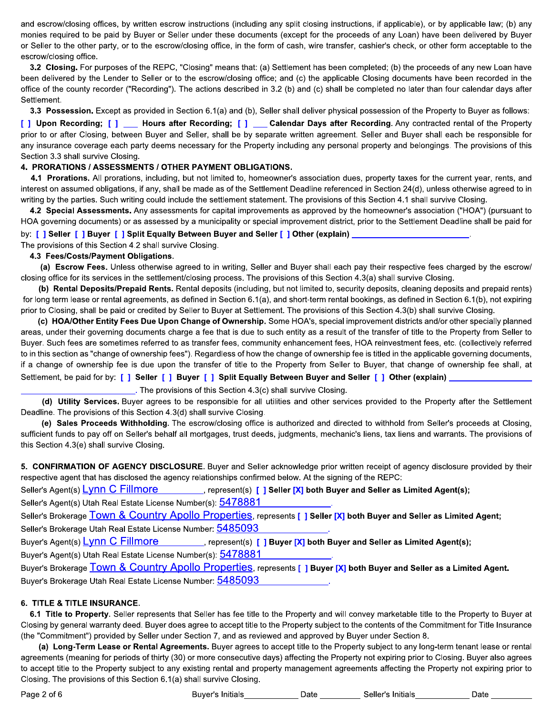and escrow/closing offices, by written escrow instructions (including any split closing instructions, if applicable), or by applicable law; (b) any monies required to be paid by Buyer or Seller under these documents (except for the proceeds of any Loan) have been delivered by Buyer or Seller to the other party, or to the escrow/closing office, in the form of cash, wire transfer, cashier's check, or other form acceptable to the escrow/closing office.

3.2 Closing. For purposes of the REPC, "Closing" means that: (a) Settlement has been completed; (b) the proceeds of any new Loan have been delivered by the Lender to Seller or to the escrow/closing office; and (c) the applicable Closing documents have been recorded in the office of the county recorder ("Recording"). The actions described in 3.2 (b) and (c) shall be completed no later than four calendar days after Settlement.

3.3 Possession. Except as provided in Section 6.1(a) and (b), Seller shall deliver physical possession of the Property to Buyer as follows:

[ ] Upon Recording; [ ] \_\_ Hours after Recording; [ ] \_\_ Calendar Days after Recording. Any contracted rental of the Property prior to or after Closing, between Buyer and Seller, shall be by separate written agreement. Seller and Buyer shall each be responsible for any insurance coverage each party deems necessary for the Property including any personal property and belongings. The provisions of this Section 3.3 shall survive Closing.

#### 4. PRORATIONS / ASSESSMENTS / OTHER PAYMENT OBLIGATIONS.

4.1 Prorations. All prorations, including, but not limited to, homeowner's association dues, property taxes for the current year, rents, and interest on assumed obligations, if any, shall be made as of the Settlement Deadline referenced in Section 24(d), unless otherwise agreed to in writing by the parties. Such writing could include the settlement statement. The provisions of this Section 4.1 shall survive Closing.

4.2 Special Assessments. Any assessments for capital improvements as approved by the homeowner's association ("HOA") (pursuant to HOA governing documents) or as assessed by a municipality or special improvement district, prior to the Settlement Deadline shall be paid for

by: [ ] Seller [ ] Buyer [ ] Split Equally Between Buyer and Seller [ ] Other (explain) The provisions of this Section 4.2 shall survive Closing.

#### 4.3 Fees/Costs/Payment Obligations.

(a) Escrow Fees. Unless otherwise agreed to in writing, Seller and Buyer shall each pay their respective fees charged by the escrow/ closing office for its services in the settlement/closing process. The provisions of this Section 4.3(a) shall survive Closing.

(b) Rental Deposits/Prepaid Rents. Rental deposits (including, but not limited to, security deposits, cleaning deposits and prepaid rents) for long term lease or rental agreements, as defined in Section 6.1(a), and short-term rental bookings, as defined in Section 6.1(b), not expiring prior to Closing, shall be paid or credited by Seller to Buyer at Settlement. The provisions of this Section 4.3(b) shall survive Closing.

(c) HOA/Other Entity Fees Due Upon Change of Ownership. Some HOA's, special improvement districts and/or other specially planned areas, under their governing documents charge a fee that is due to such entity as a result of the transfer of title to the Property from Seller to Buyer. Such fees are sometimes referred to as transfer fees, community enhancement fees, HOA reinvestment fees, etc. (collectively referred to in this section as "change of ownership fees"). Regardless of how the change of ownership fee is titled in the applicable governing documents, if a change of ownership fee is due upon the transfer of title to the Property from Seller to Buyer, that change of ownership fee shall, at Settlement, be paid for by: [] Seller [] Buyer [] Split Equally Between Buyer and Seller [] Other (explain) \_

... The provisions of this Section 4.3(c) shall survive Closing.

(d) Utility Services. Buyer agrees to be responsible for all utilities and other services provided to the Property after the Settlement Deadline. The provisions of this Section 4.3(d) shall survive Closing.

(e) Sales Proceeds Withholding. The escrow/closing office is authorized and directed to withhold from Seller's proceeds at Closing, sufficient funds to pay off on Seller's behalf all mortgages, trust deeds, judgments, mechanic's liens, tax liens and warrants. The provisions of this Section 4.3(e) shall survive Closing.

5. CONFIRMATION OF AGENCY DISCLOSURE. Buyer and Seller acknowledge prior written receipt of agency disclosure provided by their respective agent that has disclosed the agency relationships confirmed below. At the signing of the REPC:

Seller's Agent(s) Lynn C Fillmore entries represent(s) [ ] Seller [X] both Buyer and Seller as Limited Agent(s); Seller's Agent(s) Utah Real Estate License Number(s): 5478881 Seller's Brokerage Town & Country Apollo Properties, represents [] Seller [X] both Buyer and Seller as Limited Agent; Seller's Brokerage Utah Real Estate License Number: 5485093 Buyer's Agent(s) <u>Lynn C Fillmore</u> extendion present(s) [ ] Buyer [X] both Buyer and Seller as Limited Agent(s); Buyer's Agent(s) Utah Real Estate License Number(s): 5478881 Buyer's Brokerage Town & Country Apollo Properties, represents [] Buyer [X] both Buyer and Seller as a Limited Agent. Buyer's Brokerage Utah Real Estate License Number: 5485093

## **6. TITLE & TITLE INSURANCE.**

6.1 Title to Property. Seller represents that Seller has fee title to the Property and will convey marketable title to the Property to Buyer at Closing by general warranty deed. Buyer does agree to accept title to the Property subject to the contents of the Commitment for Title Insurance (the "Commitment") provided by Seller under Section 7, and as reviewed and approved by Buyer under Section 8.

(a) Long-Term Lease or Rental Agreements. Buyer agrees to accept title to the Property subject to any long-term tenant lease or rental agreements (meaning for periods of thirty (30) or more consecutive days) affecting the Property not expiring prior to Closing. Buyer also agrees to accept title to the Property subject to any existing rental and property management agreements affecting the Property not expiring prior to Closing. The provisions of this Section 6.1(a) shall survive Closing.

Buyer's Initials **Salut Contract Contract Contract Contract Contract Contract Contract Contract Contract Contract Contract Contract Contract Contract Contract Contract Contract Contract Contract Contract Contract Contract**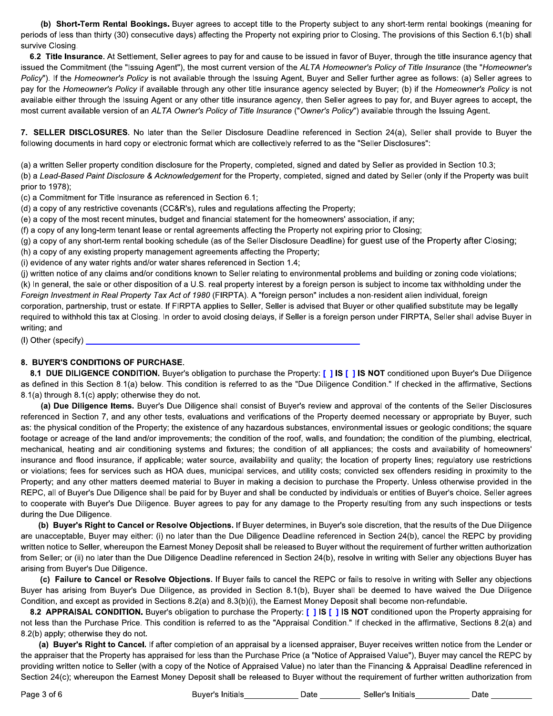(b) Short-Term Rental Bookings. Buyer agrees to accept title to the Property subject to any short-term rental bookings (meaning for periods of less than thirty (30) consecutive days) affecting the Property not expiring prior to Closing. The provisions of this Section 6.1(b) shall survive Closing

6.2 Title Insurance. At Settlement, Seller agrees to pay for and cause to be issued in favor of Buyer, through the title insurance agency that issued the Commitment (the "Issuing Agent"), the most current version of the ALTA Homeowner's Policy of Title Insurance (the "Homeowner's Policy"). If the Homeowner's Policy is not available through the Issuing Agent, Buyer and Seller further agree as follows: (a) Seller agrees to pay for the Homeowner's Policy if available through any other title insurance agency selected by Buyer; (b) if the Homeowner's Policy is not available either through the Issuing Agent or any other title insurance agency, then Seller agrees to pay for, and Buyer agrees to accept, the most current available version of an ALTA Owner's Policy of Title Insurance ("Owner's Policy") available through the Issuing Agent.

7. SELLER DISCLOSURES. No later than the Seller Disclosure Deadline referenced in Section 24(a), Seller shall provide to Buyer the following documents in hard copy or electronic format which are collectively referred to as the "Seller Disclosures":

(a) a written Seller property condition disclosure for the Property, completed, signed and dated by Seller as provided in Section 10.3;

(b) a Lead-Based Paint Disclosure & Acknowledgement for the Property, completed, signed and dated by Seller (only if the Property was built prior to 1978);

(c) a Commitment for Title Insurance as referenced in Section 6.1;

(d) a copy of any restrictive covenants (CC&R's), rules and regulations affecting the Property;

(e) a copy of the most recent minutes, budget and financial statement for the homeowners' association, if any;

(f) a copy of any long-term tenant lease or rental agreements affecting the Property not expiring prior to Closing;

(g) a copy of any short-term rental booking schedule (as of the Seller Disclosure Deadline) for quest use of the Property after Closing;

(h) a copy of any existing property management agreements affecting the Property;

(i) evidence of any water rights and/or water shares referenced in Section 1.4;

(j) written notice of any claims and/or conditions known to Seller relating to environmental problems and building or zoning code violations; (k) In general, the sale or other disposition of a U.S. real property interest by a foreign person is subject to income tax withholding under the Foreign Investment in Real Property Tax Act of 1980 (FIRPTA). A "foreign person" includes a non-resident alien individual, foreign corporation, partnership, trust or estate. If FIRPTA applies to Seller, Seller is advised that Buyer or other qualified substitute may be legally required to withhold this tax at Closing. In order to avoid closing delays, if Seller is a foreign person under FIRPTA, Seller shall advise Buyer in writing; and

 $(1)$  Other (specify)  $\Box$ 

#### 8. BUYER'S CONDITIONS OF PURCHASE.

8.1 DUE DILIGENCE CONDITION. Buyer's obligation to purchase the Property: [ ] IS [ ] IS NOT conditioned upon Buyer's Due Diligence as defined in this Section 8.1(a) below. This condition is referred to as the "Due Diligence Condition." If checked in the affirmative, Sections 8.1(a) through 8.1(c) apply; otherwise they do not.

(a) Due Diligence Items. Buyer's Due Diligence shall consist of Buyer's review and approval of the contents of the Seller Disclosures referenced in Section 7, and any other tests, evaluations and verifications of the Property deemed necessary or appropriate by Buyer, such as: the physical condition of the Property; the existence of any hazardous substances, environmental issues or geologic conditions; the square footage or acreage of the land and/or improvements; the condition of the roof, walls, and foundation; the condition of the plumbing, electrical, mechanical, heating and air conditioning systems and fixtures; the condition of all appliances; the costs and availability of homeowners' insurance and flood insurance, if applicable; water source, availability and quality; the location of property lines; regulatory use restrictions or violations; fees for services such as HOA dues, municipal services, and utility costs; convicted sex offenders residing in proximity to the Property; and any other matters deemed material to Buyer in making a decision to purchase the Property. Unless otherwise provided in the REPC, all of Buyer's Due Diligence shall be paid for by Buyer and shall be conducted by individuals or entities of Buyer's choice. Seller agrees to cooperate with Buyer's Due Diligence. Buyer agrees to pay for any damage to the Property resulting from any such inspections or tests during the Due Diligence.

(b) Buyer's Right to Cancel or Resolve Objections. If Buyer determines, in Buyer's sole discretion, that the results of the Due Diligence are unacceptable, Buyer may either: (i) no later than the Due Diligence Deadline referenced in Section 24(b), cancel the REPC by providing written notice to Seller, whereupon the Earnest Money Deposit shall be released to Buyer without the requirement of further written authorization from Seller; or (ii) no later than the Due Diligence Deadline referenced in Section 24(b), resolve in writing with Seller any objections Buyer has arising from Buyer's Due Diligence.

(c) Failure to Cancel or Resolve Objections. If Buyer fails to cancel the REPC or fails to resolve in writing with Seller any objections Buyer has arising from Buyer's Due Diligence, as provided in Section 8.1(b), Buyer shall be deemed to have waived the Due Diligence Condition, and except as provided in Sections 8.2(a) and 8.3(b)(i), the Earnest Money Deposit shall become non-refundable.

8.2 APPRAISAL CONDITION. Buyer's obligation to purchase the Property: [ ] IS [ ] IS NOT conditioned upon the Property appraising for not less than the Purchase Price. This condition is referred to as the "Appraisal Condition." If checked in the affirmative, Sections 8.2(a) and 8.2(b) apply; otherwise they do not.

(a) Buyer's Right to Cancel. If after completion of an appraisal by a licensed appraiser, Buyer receives written notice from the Lender or the appraiser that the Property has appraised for less than the Purchase Price (a "Notice of Appraised Value"), Buyer may cancel the REPC by providing written notice to Seller (with a copy of the Notice of Appraised Value) no later than the Financing & Appraisal Deadline referenced in Section 24(c); whereupon the Earnest Money Deposit shall be released to Buyer without the requirement of further written authorization from

Buyer's Initials **Seller's Initials Buyer's Initials**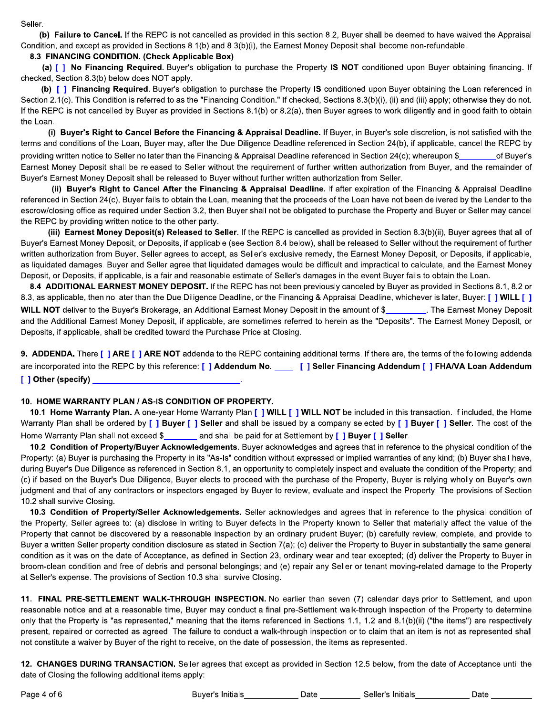Seller.

(b) Failure to Cancel. If the REPC is not cancelled as provided in this section 8.2, Buyer shall be deemed to have waived the Appraisal Condition, and except as provided in Sections 8.1(b) and 8.3(b)(i), the Earnest Money Deposit shall become non-refundable.

#### 8.3 FINANCING CONDITION. (Check Applicable Box)

(a) [] No Financing Required. Buyer's obligation to purchase the Property IS NOT conditioned upon Buyer obtaining financing. If checked, Section 8.3(b) below does NOT apply.

(b) [ ] Financing Required. Buyer's obligation to purchase the Property IS conditioned upon Buyer obtaining the Loan referenced in Section 2.1(c). This Condition is referred to as the "Financing Condition." If checked, Sections 8.3(b)(i), (ii) and (iii) apply; otherwise they do not. If the REPC is not cancelled by Buyer as provided in Sections 8.1(b) or 8.2(a), then Buyer agrees to work diligently and in good faith to obtain the Loan.

(i) Buyer's Right to Cancel Before the Financing & Appraisal Deadline. If Buyer, in Buyer's sole discretion, is not satisfied with the terms and conditions of the Loan, Buyer may, after the Due Diligence Deadline referenced in Section 24(b), if applicable, cancel the REPC by providing written notice to Seller no later than the Financing & Appraisal Deadline referenced in Section 24(c); whereupon \$ of Buyer's Earnest Money Deposit shall be released to Seller without the requirement of further written authorization from Buyer, and the remainder of Buyer's Earnest Money Deposit shall be released to Buyer without further written authorization from Seller.

(ii) Buyer's Right to Cancel After the Financing & Appraisal Deadline. If after expiration of the Financing & Appraisal Deadline referenced in Section 24(c), Buyer fails to obtain the Loan, meaning that the proceeds of the Loan have not been delivered by the Lender to the escrow/closing office as required under Section 3.2, then Buyer shall not be obligated to purchase the Property and Buyer or Seller may cancel the REPC by providing written notice to the other party.

(iii) Earnest Money Deposit(s) Released to Seller. If the REPC is cancelled as provided in Section 8.3(b)(ii), Buyer agrees that all of Buyer's Earnest Money Deposit, or Deposits, if applicable (see Section 8.4 below), shall be released to Seller without the requirement of further written authorization from Buyer. Seller agrees to accept, as Seller's exclusive remedy, the Earnest Money Deposit, or Deposits, if applicable, as liquidated damages. Buyer and Seller agree that liquidated damages would be difficult and impractical to calculate, and the Earnest Money Deposit, or Deposits, if applicable, is a fair and reasonable estimate of Seller's damages in the event Buyer fails to obtain the Loan.

8.4 ADDITIONAL EARNEST MONEY DEPOSIT. If the REPC has not been previously canceled by Buyer as provided in Sections 8.1, 8.2 or 8.3, as applicable, then no later than the Due Diligence Deadline, or the Financing & Appraisal Deadline, whichever is later, Buyer: [ ] WILL [ ] WILL NOT deliver to the Buyer's Brokerage, an Additional Earnest Money Deposit in the amount of \$\_\_\_\_\_\_\_\_\_. The Earnest Money Deposit and the Additional Earnest Money Deposit, if applicable, are sometimes referred to herein as the "Deposits". The Earnest Money Deposit, or Deposits, if applicable, shall be credited toward the Purchase Price at Closing.

9. ADDENDA. There [] ARE [] ARE NOT addenda to the REPC containing additional terms. If there are, the terms of the following addenda are incorporated into the REPC by this reference: [ ] Addendum No. [ ] Seller Financing Addendum [ ] FHA/VA Loan Addendum [ ] Other (specify)

## 10. HOME WARRANTY PLAN / AS-IS CONDITION OF PROPERTY.

10.1 Home Warranty Plan. A one-year Home Warranty Plan [ ] WILL [ ] WILL NOT be included in this transaction. If included, the Home Warranty Plan shall be ordered by [ ] Buyer [ ] Seller and shall be issued by a company selected by [ ] Buyer [ ] Seller. The cost of the and shall be paid for at Settlement by [ ] Buyer [ ] Seller. Home Warranty Plan shall not exceed \$

10.2 Condition of Property/Buyer Acknowledgements. Buyer acknowledges and agrees that in reference to the physical condition of the Property: (a) Buyer is purchasing the Property in its "As-Is" condition without expressed or implied warranties of any kind; (b) Buyer shall have, during Buyer's Due Diligence as referenced in Section 8.1, an opportunity to completely inspect and evaluate the condition of the Property; and (c) if based on the Buyer's Due Diligence, Buyer elects to proceed with the purchase of the Property, Buyer is relying wholly on Buyer's own judgment and that of any contractors or inspectors engaged by Buyer to review, evaluate and inspect the Property. The provisions of Section 10.2 shall survive Closing.

10.3 Condition of Property/Seller Acknowledgements. Seller acknowledges and agrees that in reference to the physical condition of the Property, Seller agrees to: (a) disclose in writing to Buyer defects in the Property known to Seller that materially affect the value of the Property that cannot be discovered by a reasonable inspection by an ordinary prudent Buyer; (b) carefully review, complete, and provide to Buyer a written Seller property condition disclosure as stated in Section 7(a); (c) deliver the Property to Buyer in substantially the same general condition as it was on the date of Acceptance, as defined in Section 23, ordinary wear and tear excepted; (d) deliver the Property to Buyer in broom-clean condition and free of debris and personal belongings; and (e) repair any Seller or tenant moving-related damage to the Property at Seller's expense. The provisions of Section 10.3 shall survive Closing.

11. FINAL PRE-SETTLEMENT WALK-THROUGH INSPECTION. No earlier than seven (7) calendar days prior to Settlement, and upon reasonable notice and at a reasonable time, Buyer may conduct a final pre-Settlement walk-through inspection of the Property to determine only that the Property is "as represented," meaning that the items referenced in Sections 1.1, 1.2 and 8.1(b)(ii) ("the items") are respectively present, repaired or corrected as agreed. The failure to conduct a walk-through inspection or to claim that an item is not as represented shall not constitute a waiver by Buyer of the right to receive, on the date of possession, the items as represented.

12. CHANGES DURING TRANSACTION. Seller agrees that except as provided in Section 12.5 below, from the date of Acceptance until the date of Closing the following additional items apply:

Buyer's Initials **Sallet's Initials** Date **Seller's Initials** Date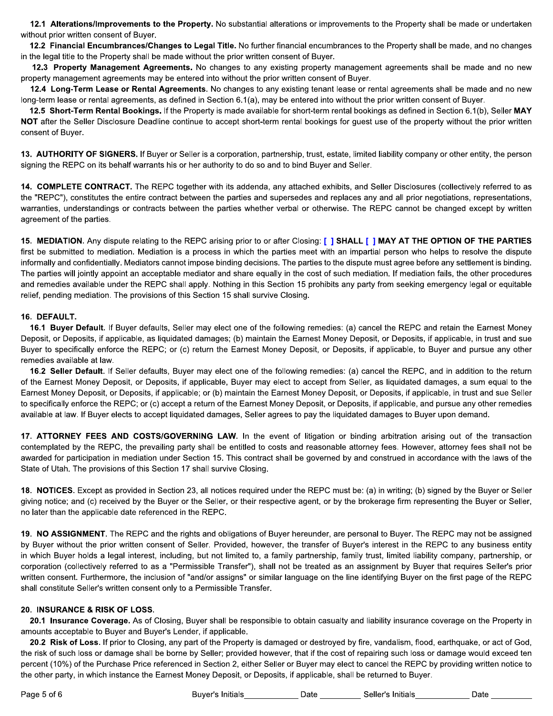12.1 Alterations/Improvements to the Property. No substantial alterations or improvements to the Property shall be made or undertaken without prior written consent of Buyer.

12.2 Financial Encumbrances/Changes to Legal Title. No further financial encumbrances to the Property shall be made, and no changes in the legal title to the Property shall be made without the prior written consent of Buyer.

12.3 Property Management Agreements. No changes to any existing property management agreements shall be made and no new property management agreements may be entered into without the prior written consent of Buyer.

12.4 Long-Term Lease or Rental Agreements. No changes to any existing tenant lease or rental agreements shall be made and no new long-term lease or rental agreements, as defined in Section 6.1(a), may be entered into without the prior written consent of Buyer.

12.5 Short-Term Rental Bookings. If the Property is made available for short-term rental bookings as defined in Section 6.1(b), Seller MAY NOT after the Seller Disclosure Deadline continue to accept short-term rental bookings for quest use of the property without the prior written consent of Buyer.

13. AUTHORITY OF SIGNERS. If Buyer or Seller is a corporation, partnership, trust, estate, limited liability company or other entity, the person signing the REPC on its behalf warrants his or her authority to do so and to bind Buyer and Seller.

14. COMPLETE CONTRACT. The REPC together with its addenda, any attached exhibits, and Seller Disclosures (collectively referred to as the "REPC"), constitutes the entire contract between the parties and supersedes and replaces any and all prior negotiations, representations, warranties, understandings or contracts between the parties whether verbal or otherwise. The REPC cannot be changed except by written agreement of the parties.

15. MEDIATION. Any dispute relating to the REPC arising prior to or after Closing: [] SHALL [] MAY AT THE OPTION OF THE PARTIES first be submitted to mediation. Mediation is a process in which the parties meet with an impartial person who helps to resolve the dispute informally and confidentially. Mediators cannot impose binding decisions. The parties to the dispute must agree before any settlement is binding. The parties will jointly appoint an acceptable mediator and share equally in the cost of such mediation. If mediation fails, the other procedures and remedies available under the REPC shall apply. Nothing in this Section 15 prohibits any party from seeking emergency legal or equitable relief, pending mediation. The provisions of this Section 15 shall survive Closing.

#### 16. DEFAULT.

16.1 Buyer Default. If Buyer defaults, Seller may elect one of the following remedies: (a) cancel the REPC and retain the Earnest Money Deposit, or Deposits, if applicable, as liquidated damages; (b) maintain the Earnest Money Deposit, or Deposits, if applicable, in trust and sue Buyer to specifically enforce the REPC; or (c) return the Earnest Money Deposit, or Deposits, if applicable, to Buyer and pursue any other remedies available at law.

16.2 Seller Default. If Seller defaults, Buyer may elect one of the following remedies: (a) cancel the REPC, and in addition to the return of the Earnest Money Deposit, or Deposits, if applicable, Buyer may elect to accept from Seller, as liquidated damages, a sum equal to the Earnest Money Deposit, or Deposits, if applicable; or (b) maintain the Earnest Money Deposit, or Deposits, if applicable, in trust and sue Seller to specifically enforce the REPC; or (c) accept a return of the Earnest Money Deposit, or Deposits, if applicable, and pursue any other remedies available at law. If Buyer elects to accept liquidated damages, Seller agrees to pay the liquidated damages to Buyer upon demand.

17. ATTORNEY FEES AND COSTS/GOVERNING LAW. In the event of litigation or binding arbitration arising out of the transaction contemplated by the REPC, the prevailing party shall be entitled to costs and reasonable attorney fees. However, attorney fees shall not be awarded for participation in mediation under Section 15. This contract shall be governed by and construed in accordance with the laws of the State of Utah. The provisions of this Section 17 shall survive Closing.

18. NOTICES. Except as provided in Section 23, all notices required under the REPC must be: (a) in writing; (b) signed by the Buyer or Seller giving notice; and (c) received by the Buyer or the Seller, or their respective agent, or by the brokerage firm representing the Buyer or Seller, no later than the applicable date referenced in the REPC.

19. NO ASSIGNMENT. The REPC and the rights and obligations of Buyer hereunder, are personal to Buyer. The REPC may not be assigned by Buyer without the prior written consent of Seller. Provided, however, the transfer of Buyer's interest in the REPC to any business entity in which Buyer holds a legal interest, including, but not limited to, a family partnership, family trust, limited liability company, partnership, or corporation (collectively referred to as a "Permissible Transfer"), shall not be treated as an assignment by Buyer that requires Seller's prior written consent. Furthermore, the inclusion of "and/or assigns" or similar language on the line identifying Buyer on the first page of the REPC shall constitute Seller's written consent only to a Permissible Transfer.

## 20. INSURANCE & RISK OF LOSS.

20.1 Insurance Coverage. As of Closing, Buyer shall be responsible to obtain casualty and liability insurance coverage on the Property in amounts acceptable to Buyer and Buyer's Lender, if applicable.

20.2 Risk of Loss. If prior to Closing, any part of the Property is damaged or destroyed by fire, vandalism, flood, earthquake, or act of God, the risk of such loss or damage shall be borne by Seller; provided however, that if the cost of repairing such loss or damage would exceed ten percent (10%) of the Purchase Price referenced in Section 2, either Seller or Buyer may elect to cancel the REPC by providing written notice to the other party, in which instance the Earnest Money Deposit, or Deposits, if applicable, shall be returned to Buyer.

Buyer's Initials **Date Contains Container Contains** Date **Contains Seller's Initials**